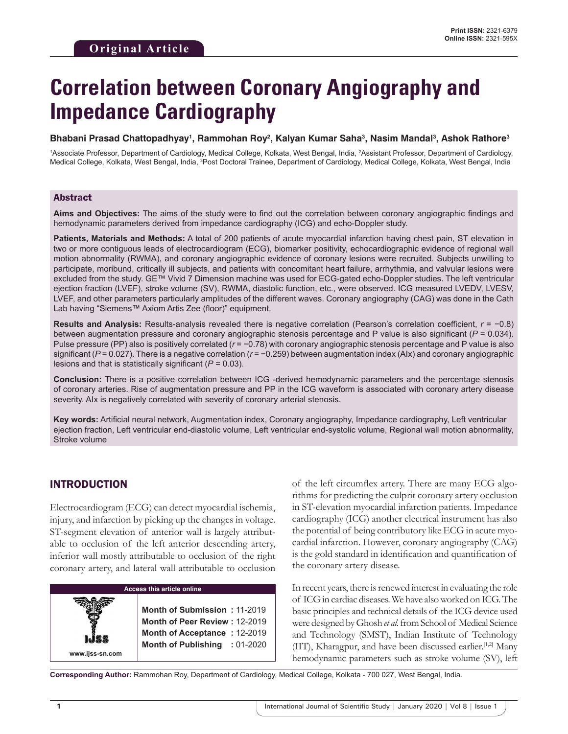# **Correlation between Coronary Angiography and Impedance Cardiography**

#### **Bhabani Prasad Chattopadhyay1 , Rammohan Roy2 , Kalyan Kumar Saha3 , Nasim Mandal3 , Ashok Rathore3**

1 Associate Professor, Department of Cardiology, Medical College, Kolkata, West Bengal, India, 2 Assistant Professor, Department of Cardiology, Medical College, Kolkata, West Bengal, India, <sup>3</sup>Post Doctoral Trainee, Department of Cardiology, Medical College, Kolkata, West Bengal, India

### Abstract

**Aims and Objectives:** The aims of the study were to find out the correlation between coronary angiographic findings and hemodynamic parameters derived from impedance cardiography (ICG) and echo-Doppler study.

**Patients, Materials and Methods:** A total of 200 patients of acute myocardial infarction having chest pain, ST elevation in two or more contiguous leads of electrocardiogram (ECG), biomarker positivity, echocardiographic evidence of regional wall motion abnormality (RWMA), and coronary angiographic evidence of coronary lesions were recruited. Subjects unwilling to participate, moribund, critically ill subjects, and patients with concomitant heart failure, arrhythmia, and valvular lesions were excluded from the study. GE™ Vivid 7 Dimension machine was used for ECG-gated echo-Doppler studies. The left ventricular ejection fraction (LVEF), stroke volume (SV), RWMA, diastolic function, etc., were observed. ICG measured LVEDV, LVESV, LVEF, and other parameters particularly amplitudes of the different waves. Coronary angiography (CAG) was done in the Cath Lab having "Siemens™ Axiom Artis Zee (floor)" equipment.

**Results and Analysis:** Results-analysis revealed there is negative correlation (Pearson's correlation coefficient, *r* = −0.8) between augmentation pressure and coronary angiographic stenosis percentage and P value is also significant (*P* = 0.034). Pulse pressure (PP) also is positively correlated ( $r = -0.78$ ) with coronary angiographic stenosis percentage and P value is also significant (*P* = 0.027). There is a negative correlation (*r* = −0.259) between augmentation index (AIx) and coronary angiographic lesions and that is statistically significant (*P* = 0.03).

**Conclusion:** There is a positive correlation between ICG -derived hemodynamic parameters and the percentage stenosis of coronary arteries. Rise of augmentation pressure and PP in the ICG waveform is associated with coronary artery disease severity. AIx is negatively correlated with severity of coronary arterial stenosis.

**Key words:** Artificial neural network, Augmentation index, Coronary angiography, Impedance cardiography, Left ventricular ejection fraction, Left ventricular end-diastolic volume, Left ventricular end-systolic volume, Regional wall motion abnormality, Stroke volume

## INTRODUCTION

**www.ijss-sn.com**

Electrocardiogram (ECG) can detect myocardial ischemia, injury, and infarction by picking up the changes in voltage. ST-segment elevation of anterior wall is largely attributable to occlusion of the left anterior descending artery, inferior wall mostly attributable to occlusion of the right coronary artery, and lateral wall attributable to occlusion

#### **Access this article online**

**Month of Submission :** 11-2019 **Month of Peer Review :** 12-2019 **Month of Acceptance :** 12-2019 **Month of Publishing :** 01-2020 of the left circumflex artery. There are many ECG algorithms for predicting the culprit coronary artery occlusion in ST-elevation myocardial infarction patients. Impedance cardiography (ICG) another electrical instrument has also the potential of being contributory like ECG in acute myocardial infarction. However, coronary angiography (CAG) is the gold standard in identification and quantification of the coronary artery disease.

In recent years, there is renewed interest in evaluating the role of ICG in cardiac diseases. We have also worked on ICG. The basic principles and technical details of the ICG device used were designed by Ghosh *et al*. from School of Medical Science and Technology (SMST), Indian Institute of Technology (IIT), Kharagpur, and have been discussed earlier.<sup>[1,2]</sup> Many hemodynamic parameters such as stroke volume (SV), left

**Corresponding Author:** Rammohan Roy, Department of Cardiology, Medical College, Kolkata - 700 027, West Bengal, India.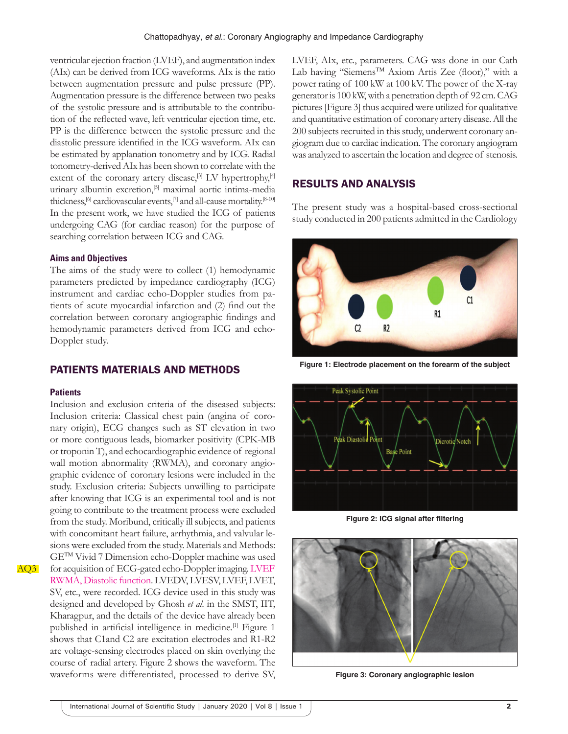ventricular ejection fraction (LVEF), and augmentation index (AIx) can be derived from ICG waveforms. AIx is the ratio between augmentation pressure and pulse pressure (PP). Augmentation pressure is the difference between two peaks of the systolic pressure and is attributable to the contribution of the reflected wave, left ventricular ejection time, etc. PP is the difference between the systolic pressure and the diastolic pressure identified in the ICG waveform. AIx can be estimated by applanation tonometry and by ICG. Radial tonometry-derived AIx has been shown to correlate with the extent of the coronary artery disease, $[3]$  LV hypertrophy, $[4]$ urinary albumin excretion,<sup>[5]</sup> maximal aortic intima-media thickness,  $^{[6]}$  cardiovascular events,  $^{[7]}$  and all-cause mortality.  $^{[8\text{-}10]}$ In the present work, we have studied the ICG of patients undergoing CAG (for cardiac reason) for the purpose of searching correlation between ICG and CAG.

#### **Aims and Objectives**

The aims of the study were to collect (1) hemodynamic parameters predicted by impedance cardiography (ICG) instrument and cardiac echo-Doppler studies from patients of acute myocardial infarction and (2) find out the correlation between coronary angiographic findings and hemodynamic parameters derived from ICG and echo-Doppler study.

## PATIENTS MATERIALS AND METHODS

#### **Patients**

Inclusion and exclusion criteria of the diseased subjects: Inclusion criteria: Classical chest pain (angina of coronary origin), ECG changes such as ST elevation in two or more contiguous leads, biomarker positivity (CPK-MB or troponin T), and echocardiographic evidence of regional wall motion abnormality (RWMA), and coronary angiographic evidence of coronary lesions were included in the study. Exclusion criteria: Subjects unwilling to participate after knowing that ICG is an experimental tool and is not going to contribute to the treatment process were excluded from the study. Moribund, critically ill subjects, and patients with concomitant heart failure, arrhythmia, and valvular lesions were excluded from the study. Materials and Methods: GETM Vivid 7 Dimension echo-Doppler machine was used for acquisition of ECG-gated echo-Doppler imaging. LVEF RWMA, Diastolic function. LVEDV, LVESV, LVEF, LVET, SV, etc., were recorded. ICG device used in this study was designed and developed by Ghosh *et al*. in the SMST, IIT, Kharagpur, and the details of the device have already been published in artificial intelligence in medicine.<sup>[1]</sup> Figure 1 shows that C1and C2 are excitation electrodes and R1-R2 are voltage-sensing electrodes placed on skin overlying the course of radial artery. Figure 2 shows the waveform. The waveforms were differentiated, processed to derive SV,

LVEF, AIx, etc., parameters. CAG was done in our Cath Lab having "Siemens™ Axiom Artis Zee (floor)," with a power rating of 100 kW at 100 kV. The power of the X-ray generator is 100 kW, with a penetration depth of 92 cm. CAG pictures [Figure 3] thus acquired were utilized for qualitative and quantitative estimation of coronary artery disease. All the 200 subjects recruited in this study, underwent coronary angiogram due to cardiac indication. The coronary angiogram was analyzed to ascertain the location and degree of stenosis.

# RESULTS AND ANALYSIS

The present study was a hospital-based cross-sectional study conducted in 200 patients admitted in the Cardiology



**Figure 1: Electrode placement on the forearm of the subject**



**Figure 2: ICG signal after filtering**



**Figure 3: Coronary angiographic lesion**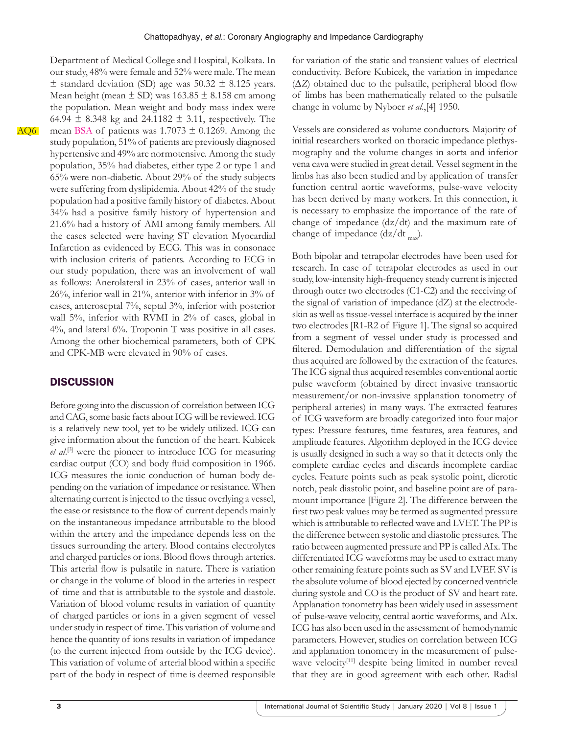AQ6

 $\pm$  standard deviation (SD) age was 50.32  $\pm$  8.125 years. Mean height (mean  $\pm$  SD) was 163.85  $\pm$  8.158 cm among the population. Mean weight and body mass index were 64.94  $\pm$  8.348 kg and 24.1182  $\pm$  3.11, respectively. The mean BSA of patients was  $1.7073 \pm 0.1269$ . Among the study population, 51% of patients are previously diagnosed hypertensive and 49% are normotensive. Among the study population, 35% had diabetes, either type 2 or type 1 and 65% were non-diabetic. About 29% of the study subjects were suffering from dyslipidemia. About 42% of the study population had a positive family history of diabetes. About 34% had a positive family history of hypertension and 21.6% had a history of AMI among family members. All the cases selected were having ST elevation Myocardial Infarction as evidenced by ECG. This was in consonace with inclusion criteria of patients. According to ECG in our study population, there was an involvement of wall as follows: Anerolateral in 23% of cases, anterior wall in 26%, inferior wall in 21%, anterior with inferior in 3% of cases, anteroseptal 7%, septal 3%, inferior with posterior wall 5%, inferior with RVMI in 2% of cases, global in 4%, and lateral 6%. Troponin T was positive in all cases. Among the other biochemical parameters, both of CPK and CPK-MB were elevated in 90% of cases.

Department of Medical College and Hospital, Kolkata. In our study, 48% were female and 52% were male. The mean

## **DISCUSSION**

Before going into the discussion of correlation between ICG and CAG, some basic facts about ICG will be reviewed. ICG is a relatively new tool, yet to be widely utilized. ICG can give information about the function of the heart. Kubicek et al.<sup>[3]</sup> were the pioneer to introduce ICG for measuring cardiac output (CO) and body fluid composition in 1966. ICG measures the ionic conduction of human body depending on the variation of impedance or resistance. When alternating current is injected to the tissue overlying a vessel, the ease or resistance to the flow of current depends mainly on the instantaneous impedance attributable to the blood within the artery and the impedance depends less on the tissues surrounding the artery. Blood contains electrolytes and charged particles or ions. Blood flows through arteries. This arterial flow is pulsatile in nature. There is variation or change in the volume of blood in the arteries in respect of time and that is attributable to the systole and diastole. Variation of blood volume results in variation of quantity of charged particles or ions in a given segment of vessel under study in respect of time. This variation of volume and hence the quantity of ions results in variation of impedance (to the current injected from outside by the ICG device). This variation of volume of arterial blood within a specific part of the body in respect of time is deemed responsible

for variation of the static and transient values of electrical conductivity. Before Kubicek, the variation in impedance (∆*Z*) obtained due to the pulsatile, peripheral blood flow of limbs has been mathematically related to the pulsatile change in volume by Nyboer *et al*.,[4] 1950.

Vessels are considered as volume conductors. Majority of initial researchers worked on thoracic impedance plethysmography and the volume changes in aorta and inferior vena cava were studied in great detail. Vessel segment in the limbs has also been studied and by application of transfer function central aortic waveforms, pulse-wave velocity has been derived by many workers. In this connection, it is necessary to emphasize the importance of the rate of change of impedance (dz/dt) and the maximum rate of change of impedance  $\frac{dz}{dt}$ .

Both bipolar and tetrapolar electrodes have been used for research. In case of tetrapolar electrodes as used in our study, low-intensity high-frequency steady current is injected through outer two electrodes (C1-C2) and the receiving of the signal of variation of impedance (dZ) at the electrodeskin as well as tissue-vessel interface is acquired by the inner two electrodes [R1-R2 of Figure 1]. The signal so acquired from a segment of vessel under study is processed and filtered. Demodulation and differentiation of the signal thus acquired are followed by the extraction of the features. The ICG signal thus acquired resembles conventional aortic pulse waveform (obtained by direct invasive transaortic measurement/or non-invasive applanation tonometry of peripheral arteries) in many ways. The extracted features of ICG waveform are broadly categorized into four major types: Pressure features, time features, area features, and amplitude features. Algorithm deployed in the ICG device is usually designed in such a way so that it detects only the complete cardiac cycles and discards incomplete cardiac cycles. Feature points such as peak systolic point, dicrotic notch, peak diastolic point, and baseline point are of paramount importance [Figure 2]. The difference between the first two peak values may be termed as augmented pressure which is attributable to reflected wave and LVET. The PP is the difference between systolic and diastolic pressures. The ratio between augmented pressure and PP is called AIx. The differentiated ICG waveforms may be used to extract many other remaining feature points such as SV and LVEF. SV is the absolute volume of blood ejected by concerned ventricle during systole and CO is the product of SV and heart rate. Applanation tonometry has been widely used in assessment of pulse-wave velocity, central aortic waveforms, and AIx. ICG has also been used in the assessment of hemodynamic parameters. However, studies on correlation between ICG and applanation tonometry in the measurement of pulsewave velocity<sup>[11]</sup> despite being limited in number reveal that they are in good agreement with each other. Radial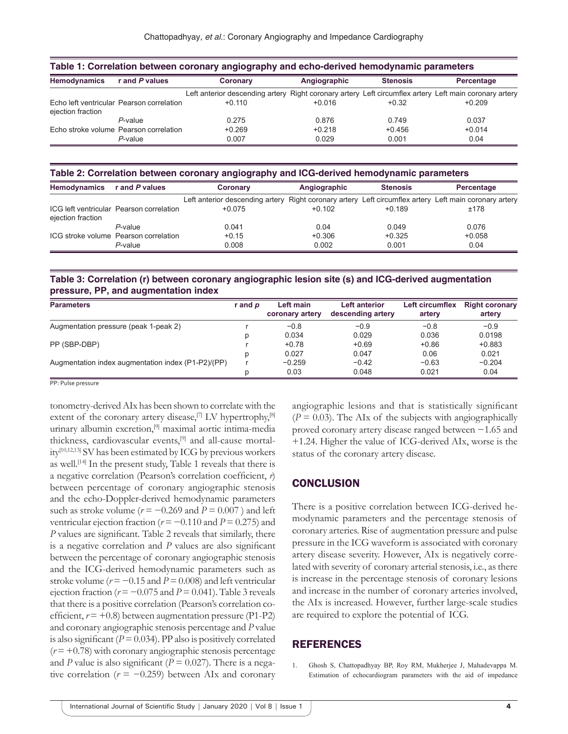| Table 1: Correlation between coronary angiography and echo-derived hemodynamic parameters |                                           |                                                                                                        |              |                 |            |  |  |  |  |
|-------------------------------------------------------------------------------------------|-------------------------------------------|--------------------------------------------------------------------------------------------------------|--------------|-----------------|------------|--|--|--|--|
| <b>Hemodynamics</b>                                                                       | r and P values                            | Coronary                                                                                               | Angiographic | <b>Stenosis</b> | Percentage |  |  |  |  |
|                                                                                           |                                           | Left anterior descending artery Right coronary artery Left circumflex artery Left main coronary artery |              |                 |            |  |  |  |  |
| ejection fraction                                                                         | Echo left ventricular Pearson correlation | $+0.110$                                                                                               | $+0.016$     | $+0.32$         | $+0.209$   |  |  |  |  |
|                                                                                           | $P$ -value                                | 0.275                                                                                                  | 0.876        | 0.749           | 0.037      |  |  |  |  |
|                                                                                           | Echo stroke volume Pearson correlation    | $+0.269$                                                                                               | $+0.218$     | $+0.456$        | $+0.014$   |  |  |  |  |
|                                                                                           | $P$ -value                                | 0.007                                                                                                  | 0.029        | 0.001           | 0.04       |  |  |  |  |

**Table 2: Correlation between coronary angiography and ICG‑derived hemodynamic parameters**

| <b>Hemodynamics</b> | r and P values                           | Coronary                                                                                               | Angiographic | <b>Stenosis</b> | Percentage |  |
|---------------------|------------------------------------------|--------------------------------------------------------------------------------------------------------|--------------|-----------------|------------|--|
|                     |                                          | Left anterior descending artery Right coronary artery Left circumflex artery Left main coronary artery |              |                 |            |  |
| ejection fraction   | ICG left ventricular Pearson correlation | $+0.075$                                                                                               | $+0.102$     | $+0.189$        | ±178       |  |
|                     | P-value                                  | 0.041                                                                                                  | 0.04         | 0.049           | 0.076      |  |
|                     | ICG stroke volume Pearson correlation    | $+0.15$                                                                                                | $+0.306$     | $+0.325$        | $+0.058$   |  |
|                     | P-value                                  | 0.008                                                                                                  | 0.002        | 0.001           | 0.04       |  |

**Table 3: Correlation (r) between coronary angiographic lesion site (s) and ICG‑derived augmentation pressure, PP, and augmentation index**

| <b>Parameters</b>                                  | r and p | Left main<br>coronary artery | <b>Left anterior</b><br>descending artery | Left circumflex<br>artery | <b>Right coronary</b><br>artery |
|----------------------------------------------------|---------|------------------------------|-------------------------------------------|---------------------------|---------------------------------|
| Augmentation pressure (peak 1-peak 2)              |         | $-0.8$                       | $-0.9$                                    | $-0.8$                    | $-0.9$                          |
|                                                    |         | 0.034                        | 0.029                                     | 0.036                     | 0.0198                          |
| PP (SBP-DBP)                                       |         | $+0.78$                      | $+0.69$                                   | $+0.86$                   | $+0.883$                        |
|                                                    |         | 0.027                        | 0.047                                     | 0.06                      | 0.021                           |
| Augmentation index augmentation index (P1-P2)/(PP) |         | $-0.259$                     | $-0.42$                                   | $-0.63$                   | $-0.204$                        |
|                                                    |         | 0.03                         | 0.048                                     | 0.021                     | 0.04                            |

PP: Pulse pressure

tonometry-derived AIx has been shown to correlate with the extent of the coronary artery disease, $[7]$  LV hypertrophy, $[8]$ urinary albumin excretion,[9] maximal aortic intima-media thickness, cardiovascular events,[9] and all-cause mortality[10,12,13] SV has been estimated by ICG by previous workers as well.<sup>[14]</sup> In the present study, Table 1 reveals that there is a negative correlation (Pearson's correlation coefficient, *r*) between percentage of coronary angiographic stenosis and the echo-Doppler-derived hemodynamic parameters such as stroke volume ( $r = -0.269$  and  $P = 0.007$ ) and left ventricular ejection fraction ( $r = -0.110$  and  $P = 0.275$ ) and *P* values are significant. Table 2 reveals that similarly, there is a negative correlation and *P* values are also significant between the percentage of coronary angiographic stenosis and the ICG-derived hemodynamic parameters such as stroke volume ( $r = -0.15$  and  $P = 0.008$ ) and left ventricular ejection fraction ( $r = -0.075$  and  $P = 0.041$ ). Table 3 reveals that there is a positive correlation (Pearson's correlation coefficient,  $r = +0.8$ ) between augmentation pressure (P1-P2) and coronary angiographic stenosis percentage and *P* value is also significant ( $P = 0.034$ ). PP also is positively correlated  $(r = +0.78)$  with coronary angiographic stenosis percentage and *P* value is also significant ( $P = 0.027$ ). There is a negative correlation ( $r = -0.259$ ) between AIx and coronary angiographic lesions and that is statistically significant  $(P = 0.03)$ . The AIx of the subjects with angiographically proved coronary artery disease ranged between −1.65 and +1.24. Higher the value of ICG-derived AIx, worse is the status of the coronary artery disease.

## **CONCLUSION**

There is a positive correlation between ICG-derived hemodynamic parameters and the percentage stenosis of coronary arteries. Rise of augmentation pressure and pulse pressure in the ICG waveform is associated with coronary artery disease severity. However, AIx is negatively correlated with severity of coronary arterial stenosis, i.e., as there is increase in the percentage stenosis of coronary lesions and increase in the number of coronary arteries involved, the AIx is increased. However, further large-scale studies are required to explore the potential of ICG.

## REFERENCES

1. Ghosh S, Chattopadhyay BP, Roy RM, Mukherjee J, Mahadevappa M. Estimation of echocardiogram parameters with the aid of impedance